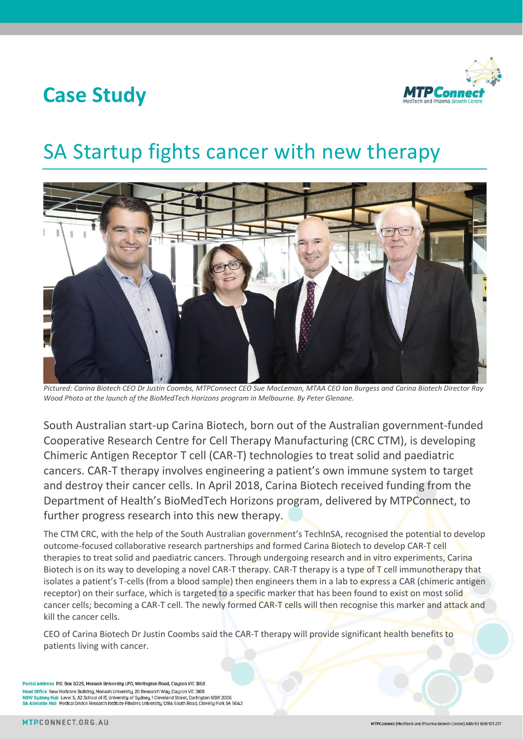## **Case Study**



## SA Startup fights cancer with new therapy



*Pictured: Carina Biotech CEO Dr Justin Coombs, MTPConnect CEO Sue MacLeman, MTAA CEO Ian Burgess and Carina Biotech Director Ray Wood Photo at the launch of the BioMedTech Horizons program in Melbourne. By Peter Glenane.*

South Australian start-up Carina Biotech, born out of the Australian government-funded Cooperative Research Centre for Cell Therapy Manufacturing (CRC CTM), is developing Chimeric Antigen Receptor T cell (CAR-T) technologies to treat solid and paediatric cancers. CAR-T therapy involves engineering a patient's own immune system to target and destroy their cancer cells. In April 2018, Carina Biotech received funding from the Department of Health's BioMedTech Horizons program, delivered by MTPConnect, to further progress research into this new therapy.

The CTM CRC, with the help of the South Australian government's TechInSA, recognised the potential to develop outcome-focused collaborative research partnerships and formed Carina Biotech to develop CAR-T cell therapies to treat solid and paediatric cancers. Through undergoing research and in vitro experiments, Carina Biotech is on its way to developing a novel CAR-T therapy. CAR-T therapy is a type of T cell immunotherapy that isolates a patient's T-cells (from a blood sample) then engineers them in a lab to express a CAR (chimeric antigen receptor) on their surface, which is targeted to a specific marker that has been found to exist on most solid cancer cells; becoming a CAR-T cell. The newly formed CAR-T cells will then recognise this marker and attack and kill the cancer cells.

CEO of Carina Biotech Dr Justin Coombs said the CAR-T therapy will provide significant health benefits to patients living with cancer.

Postal Address P.O. Box 8225, Monash University LPO, Wellington Road, Clayton VIC 3168 Head Office New Hortzons Building, Monash University, 20 Research Way, Clayton VIC 3168 NSW Sydney Hub Level 5, J12 School of IT, University of Sydney, 1 Cleveland Street, Darlington NSW 2006 SA Adelaide Hub Medical Device Research Institute Flinders University, 1284 South Road, Clovelly Park SA 5042